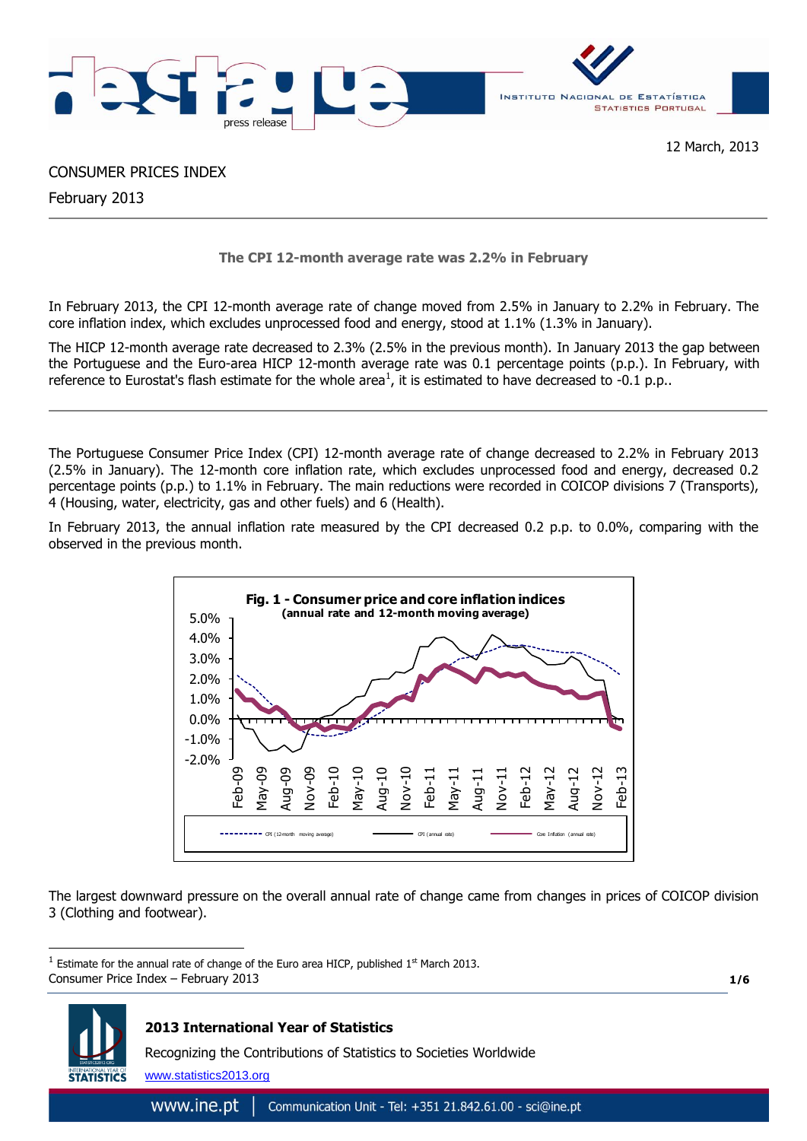



# CONSUMER PRICES INDEX

February 2013

**The CPI 12-month average rate was 2.2% in February**

In February 2013, the CPI 12-month average rate of change moved from 2.5% in January to 2.2% in February. The core inflation index, which excludes unprocessed food and energy, stood at 1.1% (1.3% in January).

The HICP 12-month average rate decreased to 2.3% (2.5% in the previous month). In January 2013 the gap between the Portuguese and the Euro-area HICP 12-month average rate was 0.1 percentage points (p.p.). In February, with reference to Eurostat's flash estimate for the whole area<sup>1</sup>, it is estimated to have decreased to -0.1 p.p..

The Portuguese Consumer Price Index (CPI) 12-month average rate of change decreased to 2.2% in February 2013 (2.5% in January). The 12-month core inflation rate, which excludes unprocessed food and energy, decreased 0.2 percentage points (p.p.) to 1.1% in February. The main reductions were recorded in COICOP divisions 7 (Transports), 4 (Housing, water, electricity, gas and other fuels) and 6 (Health).

In February 2013, the annual inflation rate measured by the CPI decreased 0.2 p.p. to 0.0%, comparing with the observed in the previous month.



The largest downward pressure on the overall annual rate of change came from changes in prices of COICOP division 3 (Clothing and footwear).

Consumer Price Index – February 2013  $<sup>1</sup>$  Estimate for the annual rate of change of the Euro area HICP, published 1st March 2013.</sup>

**1/6**



1

# **2013 International Year of Statistics**

Recognizing the Contributions of Statistics to Societies Worldwide

www.statistics2013.org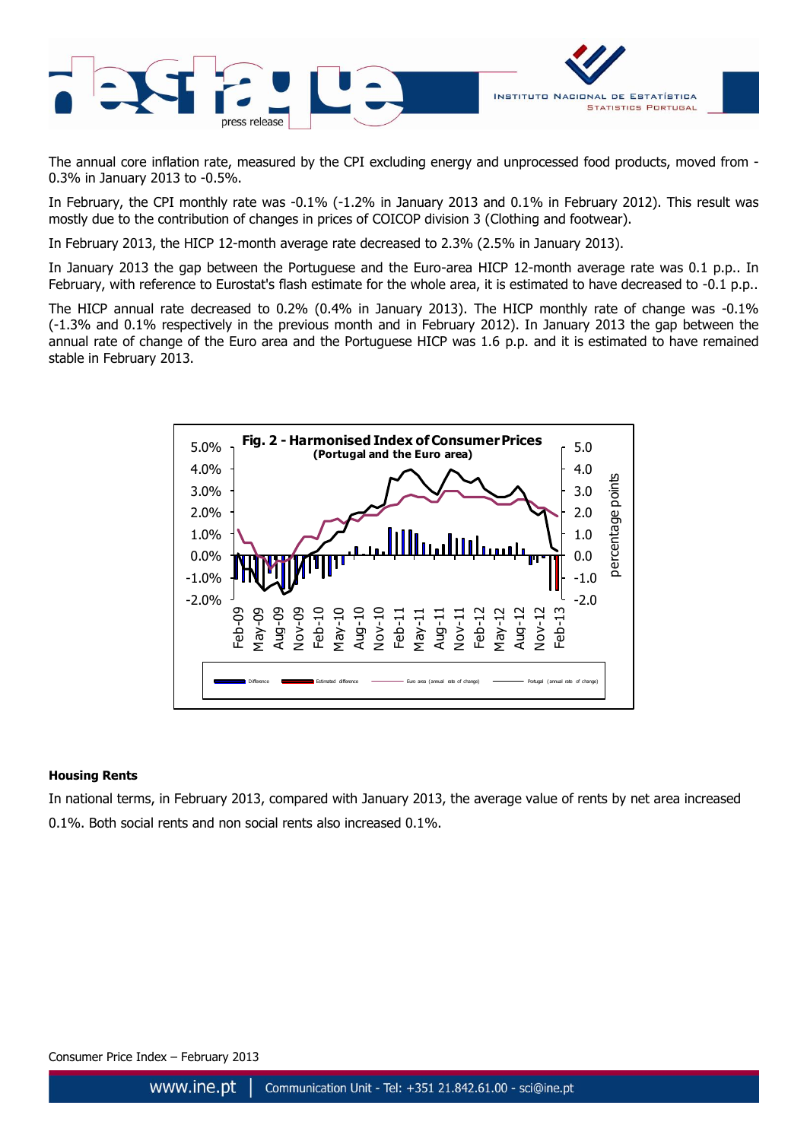

The annual core inflation rate, measured by the CPI excluding energy and unprocessed food products, moved from - 0.3% in January 2013 to -0.5%.

In February, the CPI monthly rate was -0.1% (-1.2% in January 2013 and 0.1% in February 2012). This result was mostly due to the contribution of changes in prices of COICOP division 3 (Clothing and footwear).

In February 2013, the HICP 12-month average rate decreased to 2.3% (2.5% in January 2013).

In January 2013 the gap between the Portuguese and the Euro-area HICP 12-month average rate was 0.1 p.p.. In February, with reference to Eurostat's flash estimate for the whole area, it is estimated to have decreased to -0.1 p.p..

The HICP annual rate decreased to 0.2% (0.4% in January 2013). The HICP monthly rate of change was -0.1% (-1.3% and 0.1% respectively in the previous month and in February 2012). In January 2013 the gap between the annual rate of change of the Euro area and the Portuguese HICP was 1.6 p.p. and it is estimated to have remained stable in February 2013.



## **Housing Rents**

In national terms, in February 2013, compared with January 2013, the average value of rents by net area increased 0.1%. Both social rents and non social rents also increased 0.1%.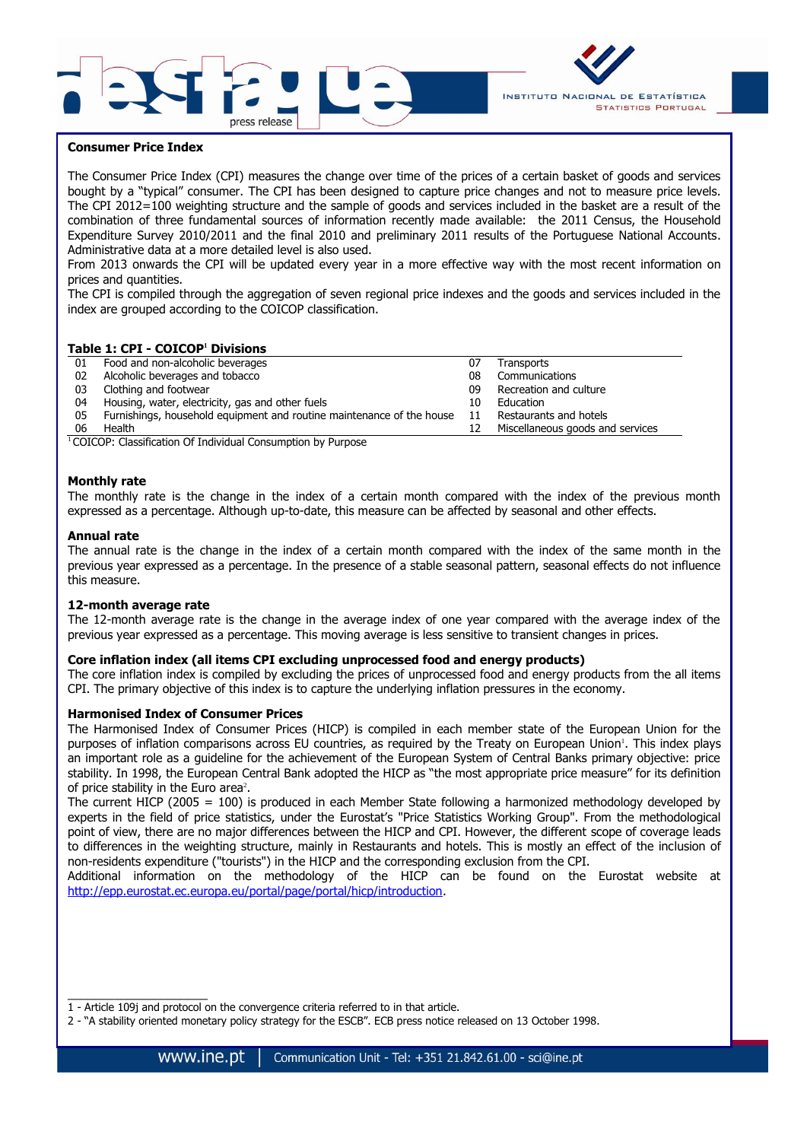



## **Consumer Price Index**

The Consumer Price Index (CPI) measures the change over time of the prices of a certain basket of goods and services bought by a "typical" consumer. The CPI has been designed to capture price changes and not to measure price levels. The CPI 2012=100 weighting structure and the sample of goods and services included in the basket are a result of the combination of three fundamental sources of information recently made available: the 2011 Census, the Household Expenditure Survey 2010/2011 and the final 2010 and preliminary 2011 results of the Portuguese National Accounts. Administrative data at a more detailed level is also used.

From 2013 onwards the CPI will be updated every year in a more effective way with the most recent information on prices and quantities.

The CPI is compiled through the aggregation of seven regional price indexes and the goods and services included in the index are grouped according to the COICOP classification.

## **Table 1: CPI - COICOP<sup>1</sup> Divisions**

| 01 | Food and non-alcoholic beverages                                      | 07 | Transports                       |
|----|-----------------------------------------------------------------------|----|----------------------------------|
| 02 | Alcoholic beverages and tobacco                                       | 08 | Communications                   |
| 03 | Clothing and footwear                                                 | 09 | Recreation and culture           |
| 04 | Housing, water, electricity, gas and other fuels                      | 10 | Education                        |
| 05 | Furnishings, household equipment and routine maintenance of the house | 11 | Restaurants and hotels           |
| 06 | Health                                                                |    | Miscellaneous goods and services |

<sup>1</sup>COICOP: Classification Of Individual Consumption by Purpose

#### **Monthly rate**

The monthly rate is the change in the index of a certain month compared with the index of the previous month expressed as a percentage. Although up-to-date, this measure can be affected by seasonal and other effects.

#### **Annual rate**

The annual rate is the change in the index of a certain month compared with the index of the same month in the previous year expressed as a percentage. In the presence of a stable seasonal pattern, seasonal effects do not influence this measure.

#### **12-month average rate**

 $\overline{\phantom{a}}$  , where  $\overline{\phantom{a}}$ 

The 12-month average rate is the change in the average index of one year compared with the average index of the previous year expressed as a percentage. This moving average is less sensitive to transient changes in prices.

### **Core inflation index (all items CPI excluding unprocessed food and energy products)**

The core inflation index is compiled by excluding the prices of unprocessed food and energy products from the all items CPI. The primary objective of this index is to capture the underlying inflation pressures in the economy.

#### **Harmonised Index of Consumer Prices**

The Harmonised Index of Consumer Prices (HICP) is compiled in each member state of the European Union for the purposes of inflation comparisons across EU countries, as required by the Treaty on European Union 1 . This index plays an important role as a guideline for the achievement of the European System of Central Banks primary objective: price stability. In 1998, the European Central Bank adopted the HICP as "the most appropriate price measure" for its definition of price stability in the Euro area<sup>2</sup>.

The current HICP (2005 = 100) is produced in each Member State following a harmonized methodology developed by experts in the field of price statistics, under the Eurostat's "Price Statistics Working Group". From the methodological point of view, there are no major differences between the HICP and CPI. However, the different scope of coverage leads to differences in the weighting structure, mainly in Restaurants and hotels. This is mostly an effect of the inclusion of non-residents expenditure ("tourists") in the HICP and the corresponding exclusion from the CPI.

Additional information on the methodology of the HICP can be found on the Eurostat website at [http://epp.eurostat.ec.europa.eu/portal/page/portal/hicp/introduction.](http://epp.eurostat.ec.europa.eu/portal/page/portal/hicp/introduction)

- 1 Article 109j and protocol on the convergence criteria referred to in that article.
- 2 "A stability oriented monetary policy strategy for the ESCB". ECB press notice released on 13 October 1998.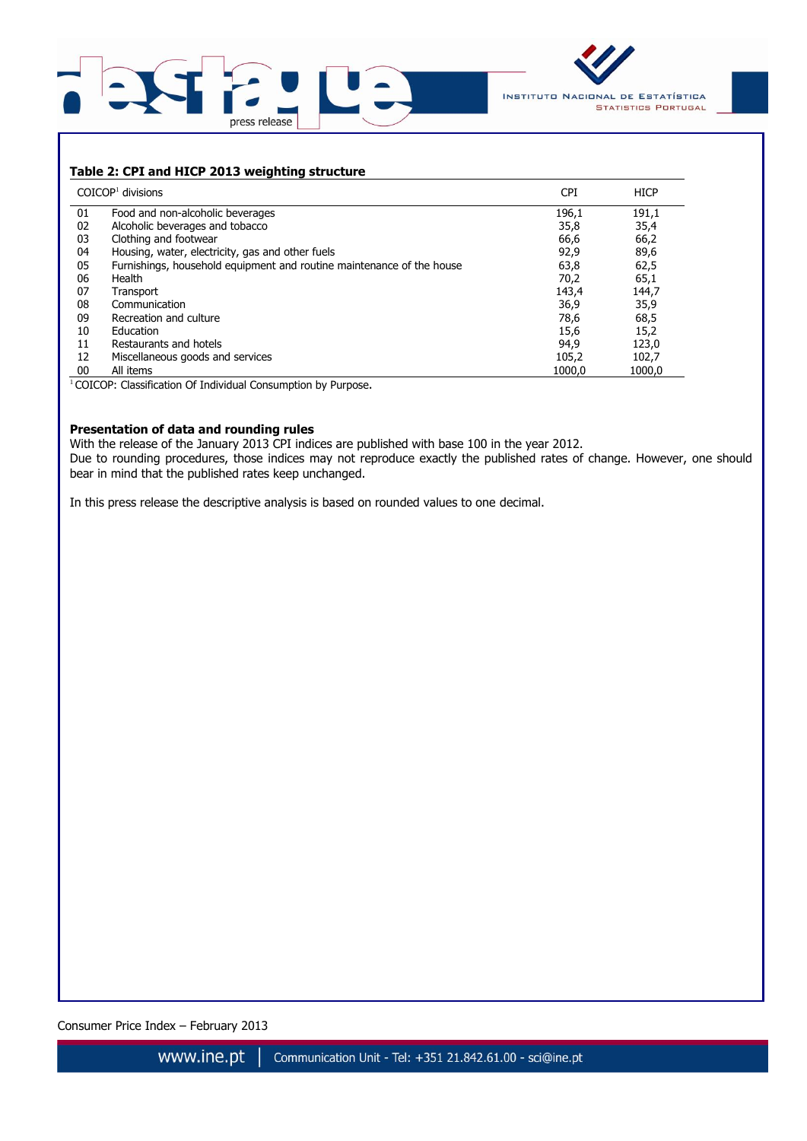



# **Table 2: CPI and HICP 2013 weighting structure**

|    | $COICOP1$ divisions                                                   | <b>CPI</b> | <b>HICP</b> |
|----|-----------------------------------------------------------------------|------------|-------------|
| 01 | Food and non-alcoholic beverages                                      | 196,1      | 191,1       |
| 02 | Alcoholic beverages and tobacco                                       | 35,8       | 35,4        |
| 03 | Clothing and footwear                                                 | 66,6       | 66,2        |
| 04 | Housing, water, electricity, gas and other fuels                      | 92,9       | 89,6        |
| 05 | Furnishings, household equipment and routine maintenance of the house | 63,8       | 62,5        |
| 06 | Health                                                                | 70,2       | 65,1        |
| 07 | Transport                                                             | 143,4      | 144,7       |
| 08 | Communication                                                         | 36,9       | 35,9        |
| 09 | Recreation and culture                                                | 78,6       | 68,5        |
| 10 | Education                                                             | 15,6       | 15,2        |
| 11 | Restaurants and hotels                                                | 94,9       | 123,0       |
| 12 | Miscellaneous goods and services                                      | 105,2      | 102,7       |
| 00 | All items                                                             | 1000.0     | 1000.0      |

<sup>1</sup> COICOP: Classification Of Individual Consumption by Purpose.

### **Presentation of data and rounding rules**

With the release of the January 2013 CPI indices are published with base 100 in the year 2012. Due to rounding procedures, those indices may not reproduce exactly the published rates of change. However, one should bear in mind that the published rates keep unchanged.

In this press release the descriptive analysis is based on rounded values to one decimal.

Consumer Price Index – February 2013 **4/6**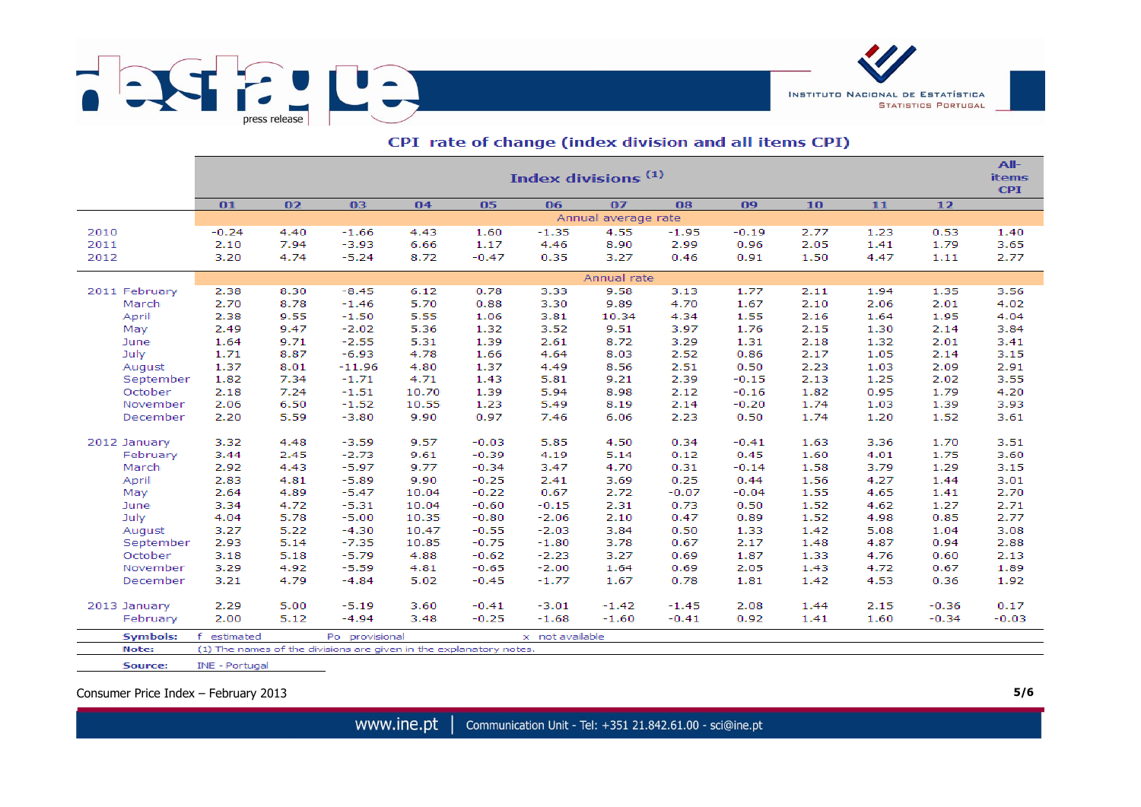

|               | Index divisions <sup>(1)</sup><br><b>items</b> |      |                |       |         |                 |         |         |         |      |      |         |         |  |  |
|---------------|------------------------------------------------|------|----------------|-------|---------|-----------------|---------|---------|---------|------|------|---------|---------|--|--|
|               | 01                                             | 02   | 03             | 04    | 05      | 06              | 07      | 08      | 09      | 10   | 11   | 12      |         |  |  |
|               | Annual average rate                            |      |                |       |         |                 |         |         |         |      |      |         |         |  |  |
| 2010          | $-0.24$                                        | 4.40 | $-1.66$        | 4.43  | 1.60    | $-1.35$         | 4.55    | $-1.95$ | $-0.19$ | 2.77 | 1.23 | 0.53    | 1.40    |  |  |
| 2011          | 2.10                                           | 7.94 | $-3.93$        | 6.66  | 1.17    | 4.46            | 8.90    | 2.99    | 0.96    | 2.05 | 1.41 | 1.79    | 3.65    |  |  |
| 2012          | 3.20                                           | 4.74 | $-5.24$        | 8.72  | $-0.47$ | 0.35            | 3.27    | 0.46    | 0.91    | 1.50 | 4.47 | 1.11    | 2.77    |  |  |
|               | Annual rate                                    |      |                |       |         |                 |         |         |         |      |      |         |         |  |  |
| 2011 February | 2.38                                           | 8.30 | $-8.45$        | 6.12  | 0.78    | 3.33            | 9.58    | 3.13    | 1.77    | 2.11 | 1.94 | 1.35    | 3.56    |  |  |
| March         | 2.70                                           | 8.78 | $-1.46$        | 5.70  | 0.88    | 3.30            | 9.89    | 4.70    | 1.67    | 2.10 | 2.06 | 2.01    | 4.02    |  |  |
| April         | 2.38                                           | 9.55 | $-1.50$        | 5.55  | 1.06    | 3.81            | 10.34   | 4.34    | 1.55    | 2.16 | 1.64 | 1.95    | 4.04    |  |  |
| May           | 2.49                                           | 9.47 | $-2.02$        | 5.36  | 1.32    | 3.52            | 9.51    | 3.97    | 1.76    | 2.15 | 1.30 | 2.14    | 3.84    |  |  |
| June          | 1.64                                           | 9.71 | $-2.55$        | 5.31  | 1.39    | 2.61            | 8.72    | 3.29    | 1.31    | 2.18 | 1.32 | 2.01    | 3.41    |  |  |
| July          | 1.71                                           | 8.87 | $-6.93$        | 4.78  | 1.66    | 4.64            | 8.03    | 2.52    | 0.86    | 2.17 | 1.05 | 2.14    | 3.15    |  |  |
| August        | 1.37                                           | 8.01 | $-11.96$       | 4.80  | 1.37    | 4.49            | 8.56    | 2.51    | 0.50    | 2.23 | 1.03 | 2.09    | 2.91    |  |  |
| September     | 1.82                                           | 7.34 | $-1.71$        | 4.71  | 1.43    | 5.81            | 9.21    | 2.39    | $-0.15$ | 2.13 | 1.25 | 2.02    | 3.55    |  |  |
| October       | 2.18                                           | 7.24 | $-1.51$        | 10.70 | 1.39    | 5.94            | 8.98    | 2.12    | $-0.16$ | 1.82 | 0.95 | 1.79    | 4.20    |  |  |
| November      | 2.06                                           | 6.50 | $-1.52$        | 10.55 | 1.23    | 5.49            | 8.19    | 2.14    | $-0.20$ | 1.74 | 1.03 | 1.39    | 3.93    |  |  |
| December      | 2.20                                           | 5.59 | $-3.80$        | 9.90  | 0.97    | 7.46            | 6.06    | 2.23    | 0.50    | 1.74 | 1.20 | 1.52    | 3.61    |  |  |
| 2012 January  | 3.32                                           | 4.48 | $-3.59$        | 9.57  | $-0.03$ | 5.85            | 4.50    | 0.34    | $-0.41$ | 1.63 | 3.36 | 1.70    | 3.51    |  |  |
| February      | 3.44                                           | 2.45 | $-2.73$        | 9.61  | $-0.39$ | 4.19            | 5.14    | 0.12    | 0.45    | 1.60 | 4.01 | 1.75    | 3.60    |  |  |
| March         | 2.92                                           | 4.43 | $-5.97$        | 9.77  | $-0.34$ | 3.47            | 4.70    | 0.31    | $-0.14$ | 1.58 | 3.79 | 1.29    | 3.15    |  |  |
| April         | 2.83                                           | 4.81 | $-5.89$        | 9.90  | $-0.25$ | 2.41            | 3.69    | 0.25    | 0.44    | 1.56 | 4.27 | 1.44    | 3.01    |  |  |
| May           | 2.64                                           | 4.89 | $-5.47$        | 10.04 | $-0.22$ | 0.67            | 2.72    | $-0.07$ | $-0.04$ | 1.55 | 4.65 | 1.41    | 2.70    |  |  |
| June          | 3.34                                           | 4.72 | $-5.31$        | 10.04 | $-0.60$ | $-0.15$         | 2.31    | 0.73    | 0.50    | 1.52 | 4.62 | 1.27    | 2.71    |  |  |
| July          | 4.04                                           | 5.78 | $-5.00$        | 10.35 | $-0.80$ | $-2.06$         | 2.10    | 0.47    | 0.89    | 1.52 | 4.98 | 0.85    | 2.77    |  |  |
| August        | 3.27                                           | 5.22 | $-4.30$        | 10.47 | $-0.55$ | $-2.03$         | 3.84    | 0.50    | 1.33    | 1.42 | 5.08 | 1.04    | 3.08    |  |  |
| September     | 2.93                                           | 5.14 | $-7.35$        | 10.85 | $-0.75$ | $-1.80$         | 3.78    | 0.67    | 2.17    | 1.48 | 4.87 | 0.94    | 2.88    |  |  |
| October       | 3.18                                           | 5.18 | $-5.79$        | 4.88  | $-0.62$ | $-2.23$         | 3.27    | 0.69    | 1.87    | 1.33 | 4.76 | 0.60    | 2.13    |  |  |
| November      | 3.29                                           | 4.92 | $-5.59$        | 4.81  | $-0.65$ | $-2.00$         | 1.64    | 0.69    | 2.05    | 1.43 | 4.72 | 0.67    | 1.89    |  |  |
| December      | 3.21                                           | 4.79 | $-4.84$        | 5.02  | $-0.45$ | $-1.77$         | 1.67    | 0.78    | 1.81    | 1.42 | 4.53 | 0.36    | 1.92    |  |  |
|               |                                                |      |                |       |         |                 |         |         |         |      |      |         |         |  |  |
| 2013 January  | 2.29                                           | 5.00 | $-5.19$        | 3.60  | $-0.41$ | $-3.01$         | $-1.42$ | $-1.45$ | 2.08    | 1.44 | 2.15 | $-0.36$ | 0.17    |  |  |
| February      | 2.00                                           | 5.12 | $-4.94$        | 3.48  | $-0.25$ | $-1.68$         | $-1.60$ | $-0.41$ | 0.92    | 1.41 | 1.60 | $-0.34$ | $-0.03$ |  |  |
| Symbols:      | estimated                                      |      | Po provisional |       |         | x not available |         |         |         |      |      |         |         |  |  |

## CPI rate of change (index division and all items CPI)

Note: (1) The names of the divisions are given in the explanatory notes. Source: INE - Portugal

Consumer Price Index – February 2013 **5/6**

www.ine.pt Communication Unit - Tel: +351 21.842.61.00 - sci@ine.pt

INSTITUTO NACIONAL DE ESTATÍSTICA

**STATISTICS PORTUGAL**